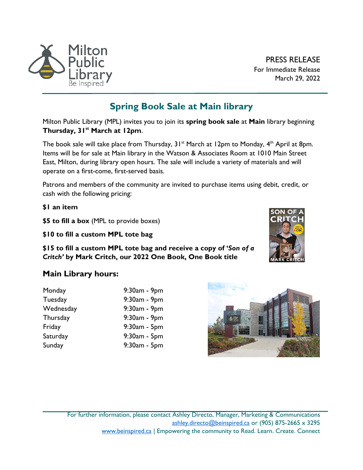

PRESS RELEASE For Immediate Release March 29, 2022

## **Spring Book Sale at Main library**

Milton Public Library (MPL) invites you to join its **spring book sale** at **Main** library beginning **Thursday, 31st March at 12pm**.

The book sale will take place from Thursday,  $31^{st}$  March at 12pm to Monday,  $4^{th}$  April at 8pm. Items will be for sale at Main library in the Watson & Associates Room at 1010 Main Street East, Milton, during library open hours. The sale will include a variety of materials and will operate on a first-come, first-served basis.

Patrons and members of the community are invited to purchase items using debit, credit, or cash with the following pricing:

**\$1 an item**

**\$5 to fill a box** (MPL to provide boxes)

**\$10 to fill a custom MPL tote bag**

**\$15 to fill a custom MPL tote bag and receive a copy of '***Son of a Critch'* **by Mark Critch, our 2022 One Book, One Book title**

## **Main Library hours:**

| $9:30am - 9pm$     |
|--------------------|
| 9:30am - 9pm       |
| 9:30am - 9pm       |
| $9:30$ am - $9$ pm |
| 9:30am - 5pm       |
| 9:30am - 5pm       |
| $9:30am - 5pm$     |
|                    |